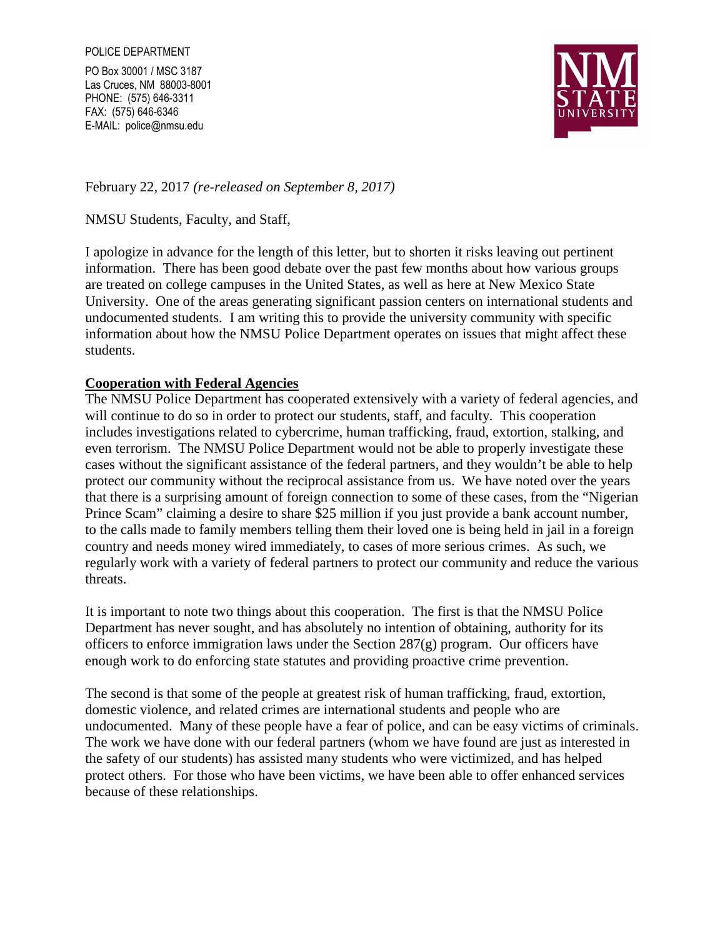PO Box 30001 / MSC 3187 Las Cruces, NM 88003-8001 PHONE: (575) 646-3311 FAX: (575) 646-6346 E-MAIL: police@nmsu.edu



February 22, 2017 *(re-released on September 8, 2017)* 

NMSU Students, Faculty, and Staff,

I apologize in advance for the length of this letter, but to shorten it risks leaving out pertinent information. There has been good debate over the past few months about how various groups are treated on college campuses in the United States, as well as here at New Mexico State University. One of the areas generating significant passion centers on international students and undocumented students. I am writing this to provide the university community with specific information about how the NMSU Police Department operates on issues that might affect these students.

### **Cooperation with Federal Agencies**

The NMSU Police Department has cooperated extensively with a variety of federal agencies, and will continue to do so in order to protect our students, staff, and faculty. This cooperation includes investigations related to cybercrime, human trafficking, fraud, extortion, stalking, and even terrorism. The NMSU Police Department would not be able to properly investigate these cases without the significant assistance of the federal partners, and they wouldn't be able to help protect our community without the reciprocal assistance from us. We have noted over the years that there is a surprising amount of foreign connection to some of these cases, from the "Nigerian Prince Scam" claiming a desire to share \$25 million if you just provide a bank account number, to the calls made to family members telling them their loved one is being held in jail in a foreign country and needs money wired immediately, to cases of more serious crimes. As such, we regularly work with a variety of federal partners to protect our community and reduce the various threats.

It is important to note two things about this cooperation. The first is that the NMSU Police Department has never sought, and has absolutely no intention of obtaining, authority for its officers to enforce immigration laws under the Section 287(g) program. Our officers have enough work to do enforcing state statutes and providing proactive crime prevention.

The second is that some of the people at greatest risk of human trafficking, fraud, extortion, domestic violence, and related crimes are international students and people who are undocumented. Many of these people have a fear of police, and can be easy victims of criminals. The work we have done with our federal partners (whom we have found are just as interested in the safety of our students) has assisted many students who were victimized, and has helped protect others. For those who have been victims, we have been able to offer enhanced services because of these relationships.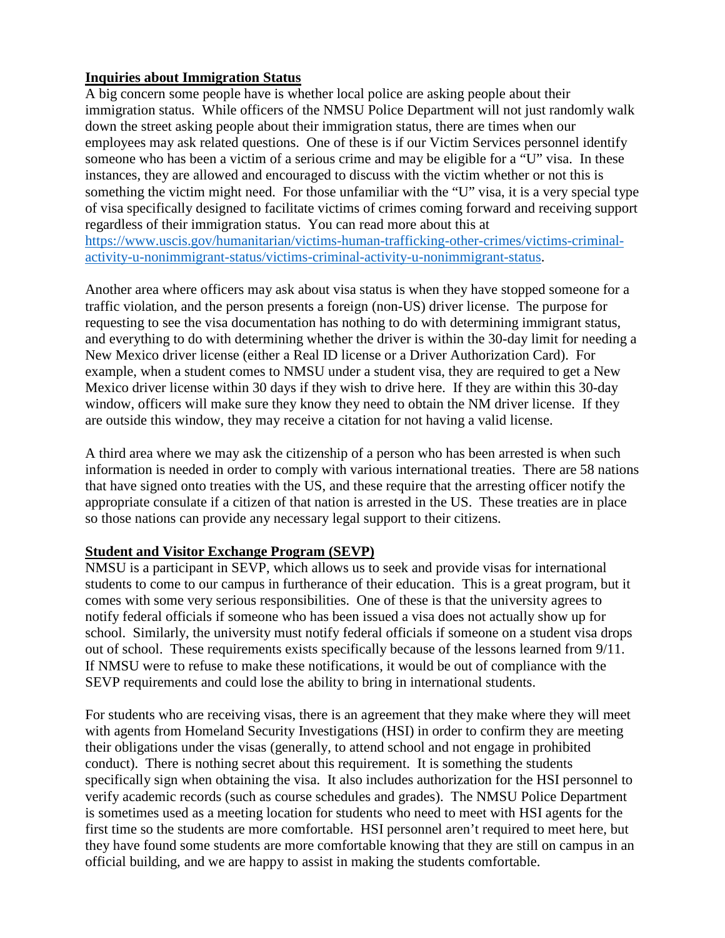### **Inquiries about Immigration Status**

A big concern some people have is whether local police are asking people about their immigration status. While officers of the NMSU Police Department will not just randomly walk down the street asking people about their immigration status, there are times when our employees may ask related questions. One of these is if our Victim Services personnel identify someone who has been a victim of a serious crime and may be eligible for a "U" visa. In these instances, they are allowed and encouraged to discuss with the victim whether or not this is something the victim might need. For those unfamiliar with the "U" visa, it is a very special type of visa specifically designed to facilitate victims of crimes coming forward and receiving support regardless of their immigration status. You can read more about this at https://www.uscis.gov/humanitarian/victims-human-trafficking-other-crimes/victims-criminalactivity-u-nonimmigrant-status/victims-criminal-activity-u-nonimmigrant-status.

Another area where officers may ask about visa status is when they have stopped someone for a traffic violation, and the person presents a foreign (non-US) driver license. The purpose for requesting to see the visa documentation has nothing to do with determining immigrant status, and everything to do with determining whether the driver is within the 30-day limit for needing a New Mexico driver license (either a Real ID license or a Driver Authorization Card). For example, when a student comes to NMSU under a student visa, they are required to get a New Mexico driver license within 30 days if they wish to drive here. If they are within this 30-day window, officers will make sure they know they need to obtain the NM driver license. If they are outside this window, they may receive a citation for not having a valid license.

A third area where we may ask the citizenship of a person who has been arrested is when such information is needed in order to comply with various international treaties. There are 58 nations that have signed onto treaties with the US, and these require that the arresting officer notify the appropriate consulate if a citizen of that nation is arrested in the US. These treaties are in place so those nations can provide any necessary legal support to their citizens.

# **Student and Visitor Exchange Program (SEVP)**

NMSU is a participant in SEVP, which allows us to seek and provide visas for international students to come to our campus in furtherance of their education. This is a great program, but it comes with some very serious responsibilities. One of these is that the university agrees to notify federal officials if someone who has been issued a visa does not actually show up for school. Similarly, the university must notify federal officials if someone on a student visa drops out of school. These requirements exists specifically because of the lessons learned from 9/11. If NMSU were to refuse to make these notifications, it would be out of compliance with the SEVP requirements and could lose the ability to bring in international students.

For students who are receiving visas, there is an agreement that they make where they will meet with agents from Homeland Security Investigations (HSI) in order to confirm they are meeting their obligations under the visas (generally, to attend school and not engage in prohibited conduct). There is nothing secret about this requirement. It is something the students specifically sign when obtaining the visa. It also includes authorization for the HSI personnel to verify academic records (such as course schedules and grades). The NMSU Police Department is sometimes used as a meeting location for students who need to meet with HSI agents for the first time so the students are more comfortable. HSI personnel aren't required to meet here, but they have found some students are more comfortable knowing that they are still on campus in an official building, and we are happy to assist in making the students comfortable.